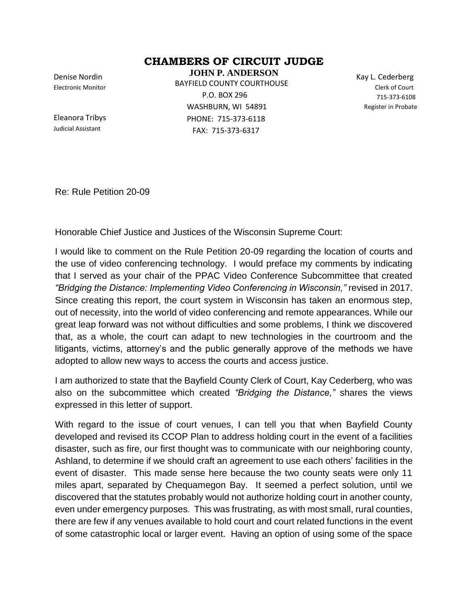## **CHAMBERS OF CIRCUIT JUDGE**

Denise Nordin Electronic Monitor

Eleanora Tribys Judicial Assistant

**JOHN P. ANDERSON** BAYFIELD COUNTY COURTHOUSE P.O. BOX 296 WASHBURN, WI 54891 PHONE: 715-373-6118 FAX: 715-373-6317

Kay L. Cederberg Clerk of Court 715-373-6108 Register in Probate 715-373-6108

Re: Rule Petition 20-09

Honorable Chief Justice and Justices of the Wisconsin Supreme Court:

I would like to comment on the Rule Petition 20-09 regarding the location of courts and the use of video conferencing technology. I would preface my comments by indicating that I served as your chair of the PPAC Video Conference Subcommittee that created *"Bridging the Distance: Implementing Video Conferencing in Wisconsin,"* revised in 2017. Since creating this report, the court system in Wisconsin has taken an enormous step, out of necessity, into the world of video conferencing and remote appearances. While our great leap forward was not without difficulties and some problems, I think we discovered that, as a whole, the court can adapt to new technologies in the courtroom and the litigants, victims, attorney's and the public generally approve of the methods we have adopted to allow new ways to access the courts and access justice.

I am authorized to state that the Bayfield County Clerk of Court, Kay Cederberg, who was also on the subcommittee which created *"Bridging the Distance,"* shares the views expressed in this letter of support.

With regard to the issue of court venues, I can tell you that when Bayfield County developed and revised its CCOP Plan to address holding court in the event of a facilities disaster, such as fire, our first thought was to communicate with our neighboring county, Ashland, to determine if we should craft an agreement to use each others' facilities in the event of disaster. This made sense here because the two county seats were only 11 miles apart, separated by Chequamegon Bay. It seemed a perfect solution, until we discovered that the statutes probably would not authorize holding court in another county, even under emergency purposes. This was frustrating, as with most small, rural counties, there are few if any venues available to hold court and court related functions in the event of some catastrophic local or larger event. Having an option of using some of the space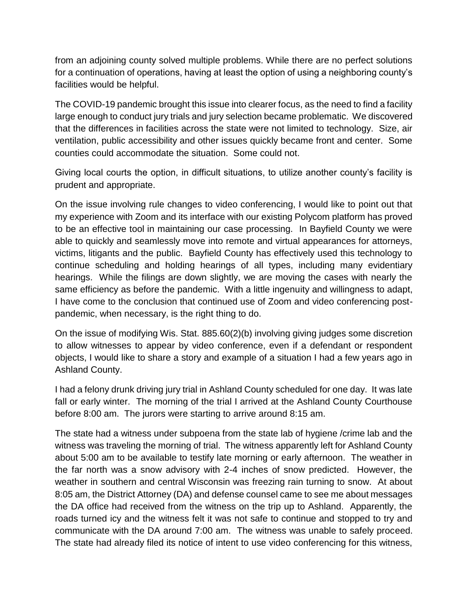from an adjoining county solved multiple problems. While there are no perfect solutions for a continuation of operations, having at least the option of using a neighboring county's facilities would be helpful.

The COVID-19 pandemic brought this issue into clearer focus, as the need to find a facility large enough to conduct jury trials and jury selection became problematic. We discovered that the differences in facilities across the state were not limited to technology. Size, air ventilation, public accessibility and other issues quickly became front and center. Some counties could accommodate the situation. Some could not.

Giving local courts the option, in difficult situations, to utilize another county's facility is prudent and appropriate.

On the issue involving rule changes to video conferencing, I would like to point out that my experience with Zoom and its interface with our existing Polycom platform has proved to be an effective tool in maintaining our case processing. In Bayfield County we were able to quickly and seamlessly move into remote and virtual appearances for attorneys, victims, litigants and the public. Bayfield County has effectively used this technology to continue scheduling and holding hearings of all types, including many evidentiary hearings. While the filings are down slightly, we are moving the cases with nearly the same efficiency as before the pandemic. With a little ingenuity and willingness to adapt, I have come to the conclusion that continued use of Zoom and video conferencing postpandemic, when necessary, is the right thing to do.

On the issue of modifying Wis. Stat. 885.60(2)(b) involving giving judges some discretion to allow witnesses to appear by video conference, even if a defendant or respondent objects, I would like to share a story and example of a situation I had a few years ago in Ashland County.

I had a felony drunk driving jury trial in Ashland County scheduled for one day. It was late fall or early winter. The morning of the trial I arrived at the Ashland County Courthouse before 8:00 am. The jurors were starting to arrive around 8:15 am.

The state had a witness under subpoena from the state lab of hygiene /crime lab and the witness was traveling the morning of trial. The witness apparently left for Ashland County about 5:00 am to be available to testify late morning or early afternoon. The weather in the far north was a snow advisory with 2-4 inches of snow predicted. However, the weather in southern and central Wisconsin was freezing rain turning to snow. At about 8:05 am, the District Attorney (DA) and defense counsel came to see me about messages the DA office had received from the witness on the trip up to Ashland. Apparently, the roads turned icy and the witness felt it was not safe to continue and stopped to try and communicate with the DA around 7:00 am. The witness was unable to safely proceed. The state had already filed its notice of intent to use video conferencing for this witness,